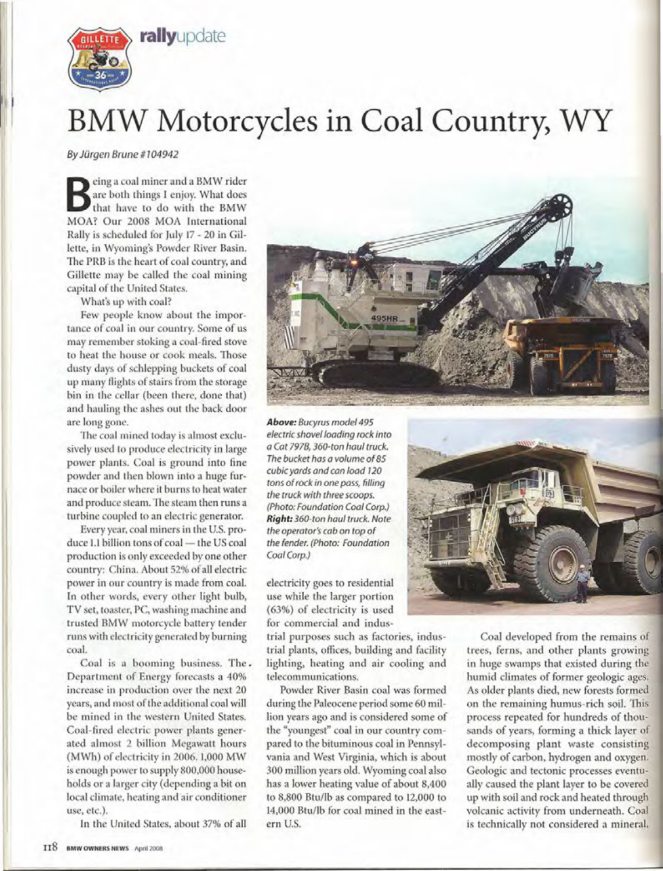

## **BMW Motorcycles in Coal Country, WY**

*By Jiirqen Brune* # <sup>7</sup> *04942*

Being a coal miner and a BMW rider<br>are both things I enjoy. What does<br>that have to do with the BMW are both things I enjoy. What does that have to do with the BMW MOA? Our 2008 MOA International Rally is scheduled for July 17 - 20 in Gillette, in Wyoming's Powder River Basin. The PRB is the heart of coal country, and Gillette may be called the coal mining capital of the United States.

What's up with coal?

Few people know about the importance of coal in our country. Some of us may remember stoking a coal-fired stove to heat the house or cook meals. Those dusty days of schlepping buckets of coal up many flights of stairs from the storage bin in the cellar (been there, done that) and hauling the ashes out the back door are long gone.

The coal mined today is almost exclusively used to produce electricity in large power plants. Coal is ground into fine powder and then blown into a huge furnace or boiler where it burns to heat water and produce steam. The steam then runs a turbine coupled to an electric generator.

Every year, coal miners in the U.S. produce 1.1 billion tons of coal - the US coal production is only exceeded by one other country: China. About 52% of all electric power in our country is made from coal. In other words, every other light bulb, TV set, toaster, PC, washing machine and trusted BMW motorcycle battery tender runs with electricity generated by burning coal.

Coal is a booming business. The. Department of Energy forecasts a 40% increase in production over the next 20 years, and most of the additional coal will be mined in the western United States. Coal-fired electric power plants generated almost 2 billion Megawatt hours (MWh) of electricity in 2006. 1,000 MW is enough power to supply 800,000 households or a larger city (depending a bit on local climate, heating and air conditioner use, etc.).

In the United States, about 37% of all



*Above: Bucyrus model* 495 *electric shovel loading rock into a Cat 797B, 360-ton haul truck. The bucket has a volume* of 85 *cubic yards and can load 720 tons* of *rock in one pass, filling the truck with three scoops. (Photo: Foundation Coal Corp.) Right: 360-ton haul truck. Note the operator's cab on top* of *the fender. (Photo: Foundation Coal Corp.)*

electricity goes to residential use while the larger portion (63%) of electricity is used for commercial and indus-

trial purposes such as factories, industrial plants, offices, building and facility lighting, heating and air cooling and telecommunications.

Powder River Basin coal was formed during the Paleocene period some 60 million years ago and is considered some of the "youngest" coal in our country compared to the bituminous coal in Pennsylvania and West Virginia, which is about 300 million years old. Wyoming coal also has a lower heating value of about 8,400 to 8,800 Btu/lb as compared to 12,000 to 14,000 Btu/lb for coal mined in the eastern U.S.



Coal developed from the remains of trees, ferns, and other plants growing in huge swamps that existed during the humid climates of former geologic ages. As older plants died, new forests formed on the remaining humus-rich soil. This process repeated for hundreds of thousands of years, forming a thick layer of decomposing plant waste consisting mostly of carbon, hydrogen and oxygen. Geologic and tectonic processes eventually caused the plant layer to be covered up with soil and rock and heated through volcanic activity from underneath. Coal is technically not considered a mineral,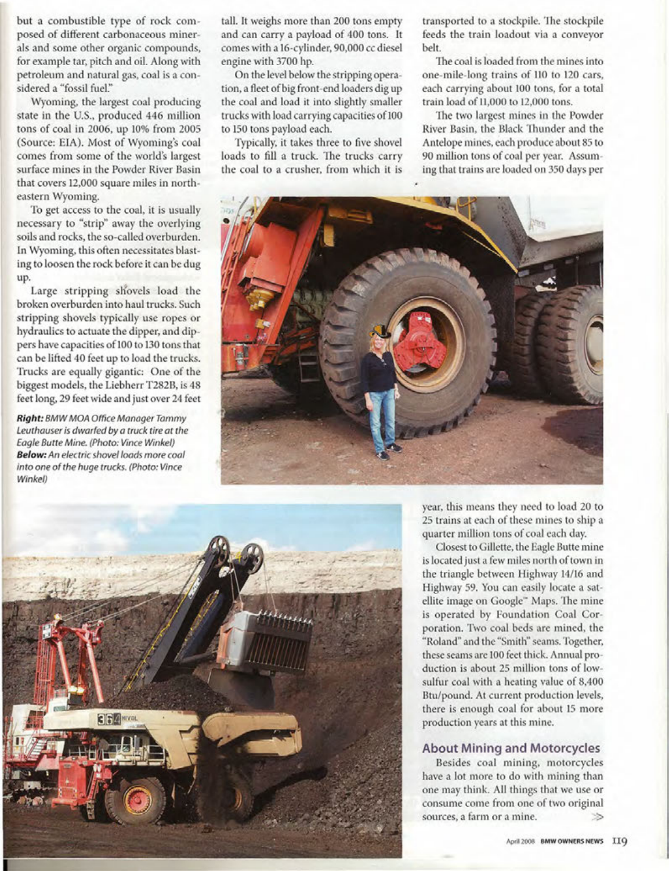but a combustible type of rock composed of different carbonaceous minerals and some other organic compounds, for example tar, pitch and oil. Along with petroleum and natural gas, coal is a considered a "fossil fuel."

Wyoming, the largest coal producing state in the U.S., produced 446 million tons of coal in 2006, up 10% from 2005 (Source: EIA). Most of Wyoming's coal comes from some of the world's largest surface mines in the Powder River Basin that covers 12,000 square miles in northeastern Wyoming.

To get access to the coal, it is usually necessary to "strip" away the overlying soils and rocks, the so-called overburden. In Wyoming, this often necessitates blasting to loosen the rock before it can be dug up.

Large stripping shovels load the broken overburden into haul trucks. Such stripping shovels typically use ropes or hydraulics to actuate the dipper, and dippers have capacities of 100 to 130 tons that can be lifted 40 feet up to load the trucks. Trucks are equally gigantic: One of the biggest models, the Liebherr T282B, is 48 feet long, 29 feet wide and just over 24 feet

*Right: BMW MOA Office Manager Tammy Leuthauser is dwarfed by a truck tire at the Eagle Butte Mine. (Photo: Vince Winkel) Below: An electric shovel loads more coal into one* of *the huge trucks. (Photo: Vince Winkel)*

tall. It weighs more than 200 tons empty and can carry a payload of 400 tons. It comes with a 16-cylinder, 90,000 cc diesel engine with 3700 hp.

On the level below the stripping operation, a fleet of big front -end loaders dig up the coal and load it into slightly smaller trucks with load carrying capacities of 100 to 150 tons payload each.

Typically, it takes three to five shovel loads to fill a truck. The trucks carry the coal to a crusher, from which it is transported to a stockpile. The stockpile feeds the train loadout via a conveyor belt.

The coal is loaded from the mines into one-mile-long trains of 110 to 120 cars, each carrying about 100 tons, for a total train load of 11,000 to 12,000 tons.

The two largest mines in the Powder River Basin, the Black Thunder and the Antelope mines, each produce about 85 to 90 million tons of coal per year. Assuming that trains are loaded on 350 days per





year, this means they need to load 20 to 25 trains at each of these mines to ship a quarter million tons of coal each day.

Closest to Gillette, the Eagle Butte mine is located just a few miles north of town in the triangle between Highway 14/16 and Highway 59. You can easily locate a satellite image on Coogle" Maps. The mine is operated by Foundation Coal Corporation. Two coal beds are mined, the "Roland" and the "Smith" seams. Together, these seams are 100 feet thick. Annual production is about 25 million tons of lowsulfur coal with a heating value of 8,400 Btu/pound. At current production levels, there is enough coal for about 15 more production years at this mine.

## **About Mining and Motorcycles**

Besides coal mining, motorcycles have a lot more to do with mining than one may think. All things that we use or consume come from one of two original sources, a farm or a mine.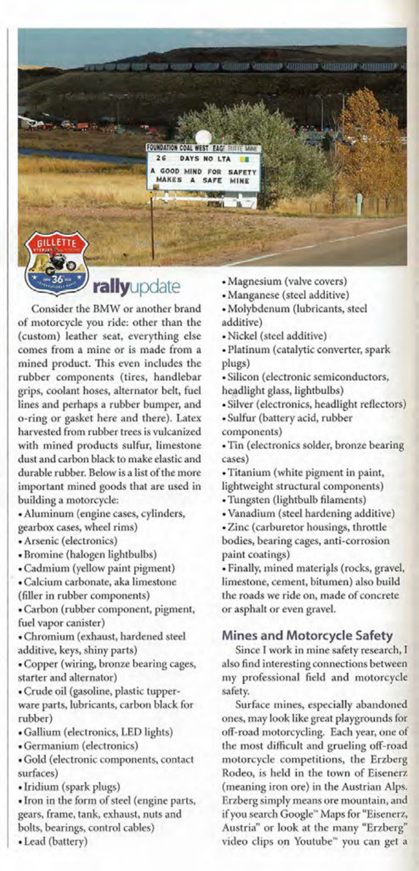IN ARTICLE AND THE CONSULTANT AND THE CONSULTANT OF A RESIDENCE OF A RESIDENCE OF **FOUNDATION COAL WEST** m  $26$ DAYS NO LTA GOOD MIND FOR **SAFET** MAKES SAFE MINE **ILLETTE** 

rallyupdate

Consider the BMW or another brand of motorcycle you ride: other than the (custom) leather seat, everything else comes from a mine or is made from a mined product. This even includes the rubber components (tires, handlebar grips, coolant hoses, alternator belt, fuel lines and perhaps a rubber bumper, and o-ring or gasket here and there). Latex harvested from rubber trees is vulcanized with mined products sulfur, limestone dust and carbon black to make elastic and durable rubber. Below is a list of the more important mined goods that are used in building a motorcycle:

• Aluminum (engine cases, cylinders, gearbox cases, wheel rims)

• Arsenic (electronics)

- Bromine (halogen lightbulbs)
- Cadmium (yellow paint pigment)
- Calcium carbonate, aka limestone
- (filler in rubber components)

• Carbon (rubber component, pigment, fuel vapor canister)

• Chromium (exhaust, hardened steel additive, keys, shiny parts)

• Copper (wiring, bronze bearing cages, starter and alternator)

- Crude oil (gasoline, plastic tupperware parts, lubricants, carbon black for rubber)
- Gallium (electronics, LED lights)
- Germanium (electronics)
- Gold (electronic components, contact surfaces)
- Iridium (spark plugs)

• Iron in the form of steel (engine parts, gears, frame, tank, exhaust, nuts and bolts, bearings, control cables)

• Lead (battery)

- Magnesium (valve covers)
- Manganese (steel additive)
- Molybdenum (lubricants, steel additive)
- Nickel (steel additive)
- Platinum (catalytic converter, spark plugs)
- Silicon (electronic semiconductors, headlight glass, lightbulbs)
- Silver (electronics, headlight reflectors)
- Sulfur (battery acid, rubber
- components)

• Tin (electronics solder, bronze bearing cases)

- Titanium (white pigment in paint,
- lightweight structural components)
- Tungsten (lightbulb filaments)
- Vanadium (steel hardening additive)
- Zinc (carburetor housings, throttle bodies, bearing cages, anti-corrosion paint coatings)

• Finally, mined materials (rocks, gravel, limestone, cement, bitumen) also build the roads we ride on, made of concrete or asphalt or even gravel.

## **Mines and Motorcycle Safety**

Since I work in mine safety research, I also find interesting connections between my professional field and motorcycle safety.

Surface mines, especially abandoned ones, may look like great playgrounds for off-road motorcycling. Each year, one of the most difficult and grueling off-road motorcycle competitions, the Erzberg Rodeo, is held in the town of Eisenerz (meaning iron ore) in the Austrian Alps. Erzberg simply means ore mountain, and if you search Coogle" Maps for "Eisenerz, Austria" or look at the many "Erzberg" video clips on Youtube" you can get a